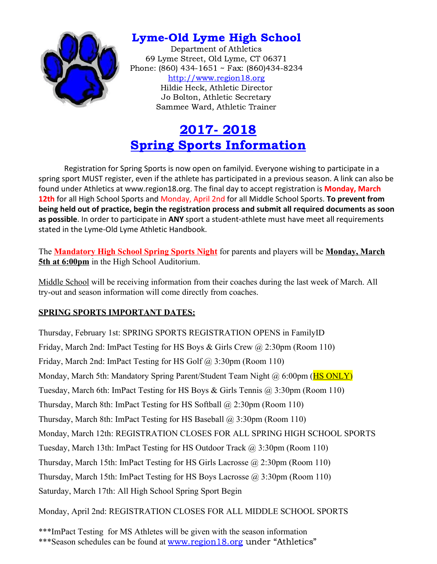

## Lyme-Old Lyme High School

Department of Athletics 69 Lyme Street, Old Lyme, CT 06371 Phone: (860) 434-1651 ~ Fax: (860)434-8234 [http://www.region18.org](http://www.region18.org/) Hildie Heck, Athletic Director Jo Bolton, Athletic Secretary Sammee Ward, Athletic Trainer

# 2017- 2018 Spring Sports Information

Registration for Spring Sports is now open on familyid. Everyone wishing to participate in a spring sport MUST register, even if the athlete has participated in a previous season. A link can also be found under Athletics at www.region18.org. The final day to accept registration is **Monday, March 12th** for all High School Sports and Monday, April 2nd for all Middle School Sports. **To prevent from being held out of practice, begin the registration process and submit all required documents as soon as possible**. In order to participate in **ANY** sport a student-athlete must have meet all requirements stated in the Lyme-Old Lyme Athletic Handbook.

The **Mandatory High School Spring Sports Night** for parents and players will be **Monday, March 5th at 6:00pm** in the High School Auditorium.

Middle School will be receiving information from their coaches during the last week of March. All try-out and season information will come directly from coaches.

### **SPRING SPORTS IMPORTANT DATES:**

Thursday, February 1st: SPRING SPORTS REGISTRATION OPENS in FamilyID Friday, March 2nd: ImPact Testing for HS Boys & Girls Crew @ 2:30pm (Room 110) Friday, March 2nd: ImPact Testing for HS Golf @ 3:30pm (Room 110) Monday, March 5th: Mandatory Spring Parent/Student Team Night @ 6:00pm (**HS ONLY**) Tuesday, March 6th: ImPact Testing for HS Boys & Girls Tennis @ 3:30pm (Room 110) Thursday, March 8th: ImPact Testing for HS Softball @ 2:30pm (Room 110) Thursday, March 8th: ImPact Testing for HS Baseball @ 3:30pm (Room 110) Monday, March 12th: REGISTRATION CLOSES FOR ALL SPRING HIGH SCHOOL SPORTS Tuesday, March 13th: ImPact Testing for HS Outdoor Track @ 3:30pm (Room 110) Thursday, March 15th: ImPact Testing for HS Girls Lacrosse @ 2:30pm (Room 110) Thursday, March 15th: ImPact Testing for HS Boys Lacrosse @ 3:30pm (Room 110) Saturday, March 17th: All High School Spring Sport Begin

Monday, April 2nd: REGISTRATION CLOSES FOR ALL MIDDLE SCHOOL SPORTS

\*\*\*ImPact Testing for MS Athletes will be given with the season information

<sup>\*\*\*</sup>Season schedules can be found at [www.region18.org](http://www.region18.org/) under "Athletics"